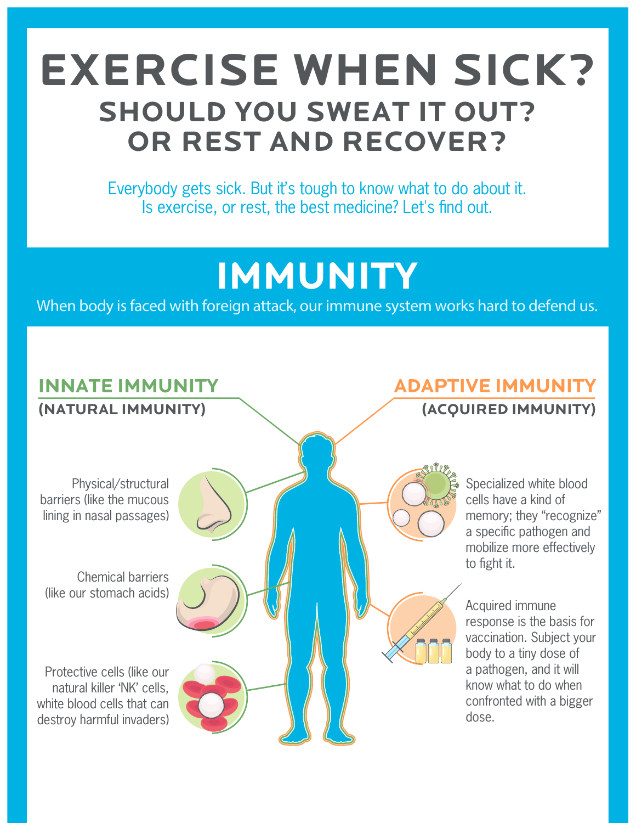# **EXERCISE WHEN SICK? SHOULD YOU SWEAT IT OUT? OR REST AND RECOVER?**

Everybody gets sick. But it's tough to know what to do about it. Is exercise, or rest, the best medicine? Let's find out.

# **IMMUNITY**

**When body is faced with foreign attack, our immune system works hard to defend us.**

# **INNATE IMMUNITY**

**(NATURAL IMMUNITY)**

Physical/structural barriers (like the mucous lining in nasal passages)

Chemical barriers (like our stomach acids)

Protective cells (like our natural killer 'NK' cells, white blood cells that can destroy harmful invaders) **ADAPTIVE IMMUNITY (ACQUIRED IMMUNITY)**

> Specialized white blood cells have a kind of memory; they "recognize" a specific pathogen and mobilize more effectively to fight it.

Acquired immune response is the basis for vaccination. Subject your body to a tiny dose of a pathogen, and it will know what to do when confronted with a bigger dose.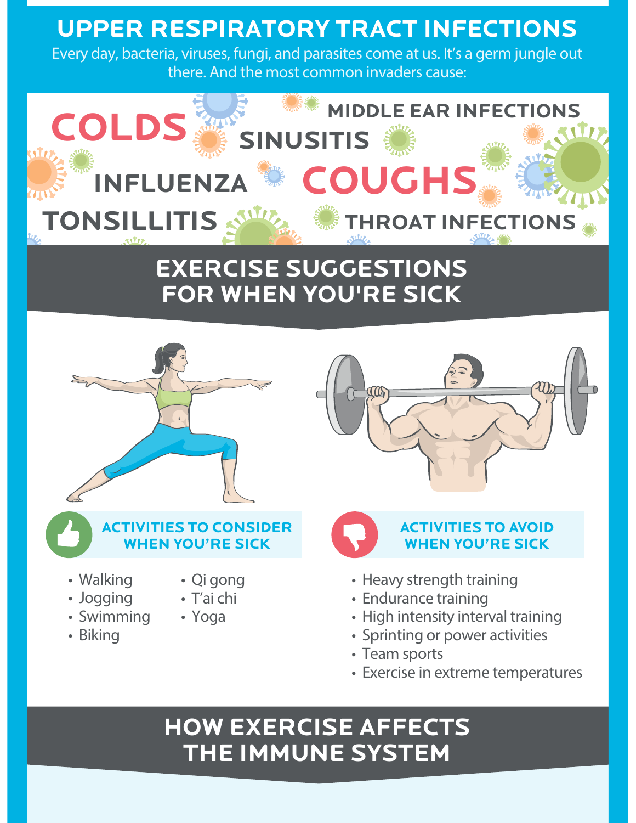# **UPPER RESPIRATORY TRACT INFECTIONS**

**Every day, bacteria, viruses, fungi, and parasites come at us. It's a germ jungle out there. And the most common invaders cause:**



# **EXERCISE SUGGESTIONS FOR WHEN YOU'RE SICK**



**• Walking • Jogging • Swimming** 

**• Biking** 

**WHEN YOU'RE SICK**

**• Qi gong • T'ai chi • Yoga**





#### **AUTIES TO AVOID WHEN YOU'RE SICK**

- **Heavy strength training**
- **Endurance training**
- **High intensity interval training**
- **Sprinting or power activities**
- **Team sports**
- **Exercise in extreme temperatures**

## **HOW EXERCISE AFFECTS THE IMMUNE SYSTEM**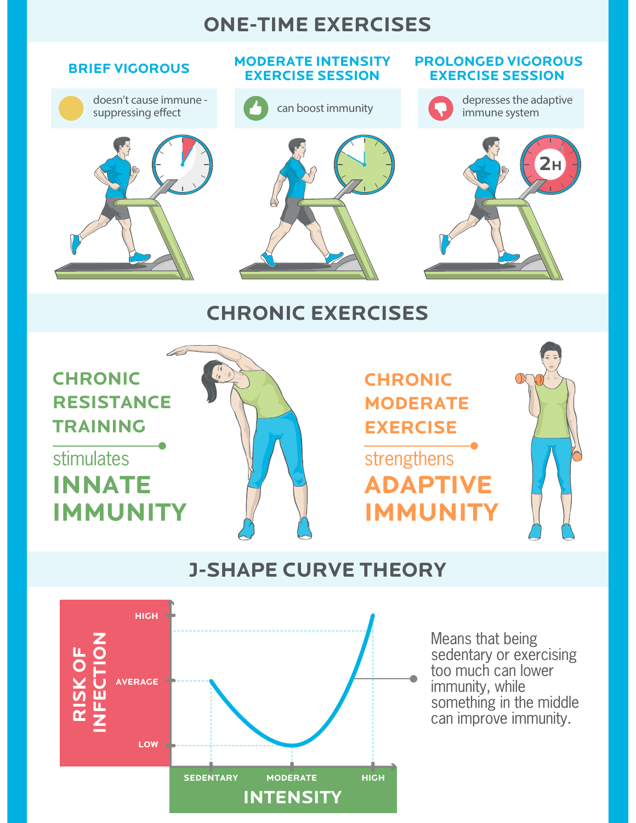#### **ONE-TIME EXERCISES**



#### **J-SHAPE CURVE THEORY**



Means that being sedentary or exercising too much can lower immunity, while something in the middle can improve immunity.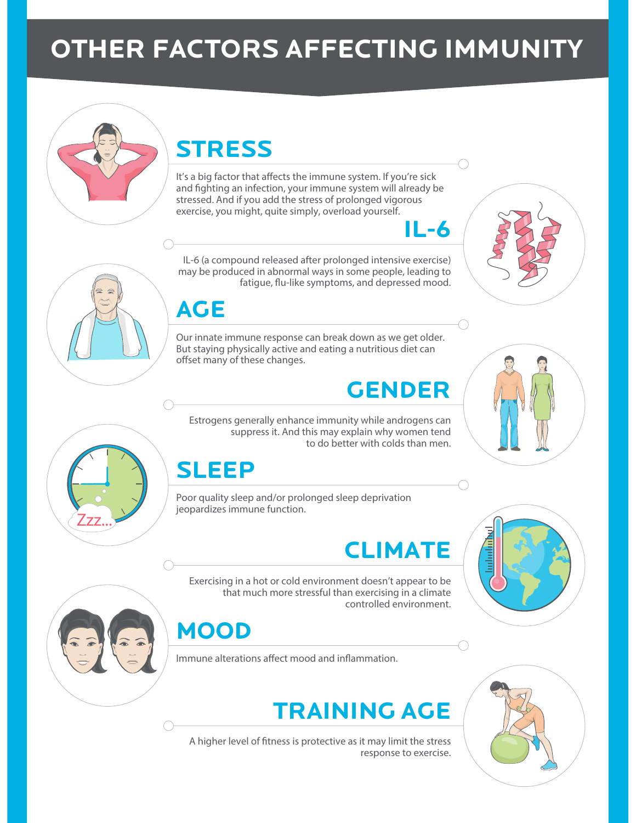# **OTHER FACTORS AFFECTING IMMUNITY**

# **STRESS**

It's a big factor that affects the immune system. If you're sick and fighting an infection, your immune system will already be stressed. And if you add the stress of prolonged vigorous exercise, you might, quite simply, overload yourself.

IL-6 (a compound released after prolonged intensive exercise) may be produced in abnormal ways in some people, leading to fatique, flu-like symptoms, and depressed mood.

### **AGE**

Our innate immune response can break down as we get older. But staying physically active and eating a nutritious diet can offset many of these changes.

## **GENDER**

**IL-6**

Estrogens generally enhance immunity while androgens can suppress it. And this may explain why women tend to do better with colds than men.

### **SLEEP**

Poor quality sleep and/or prolonged sleep deprivation jeopardizes immune function.

# **CLIMATE**

Exercising in a hot or cold environment doesn't appear to be that much more stressful than exercising in a climate controlled environment.

### **MOOD**

Immune alterations affect mood and inflammation.

# **TRAINING AGE**

A higher level of fitness is protective as it may limit the stress response to exercise.











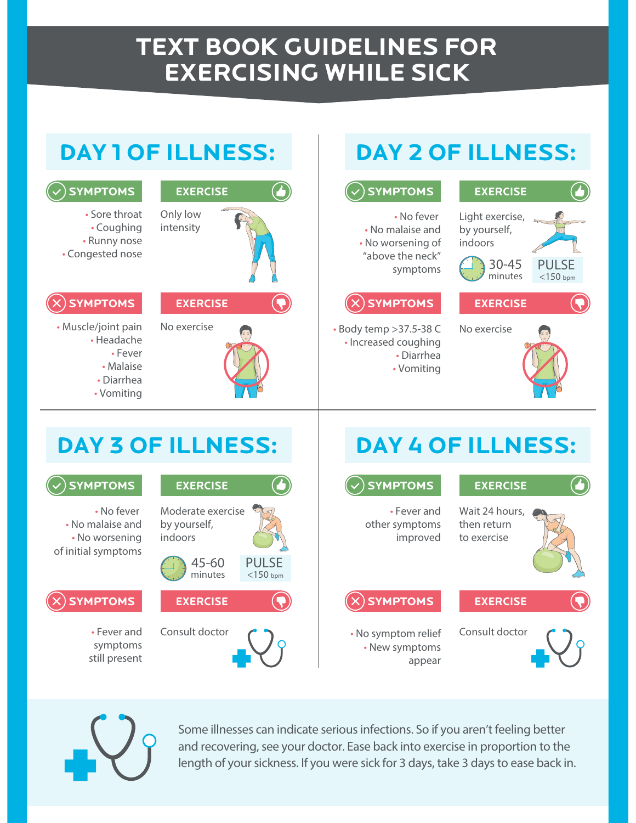## **TEXT BOOK GUIDELINES FOR EXERCISING WHILE SICK**





**Some illnesses can indicate serious infections. So if you aren't feeling better and recovering, see your doctor. Ease back into exercise in proportion to the length of your sickness. If you were sick for 3 days, take 3 days to ease back in.**